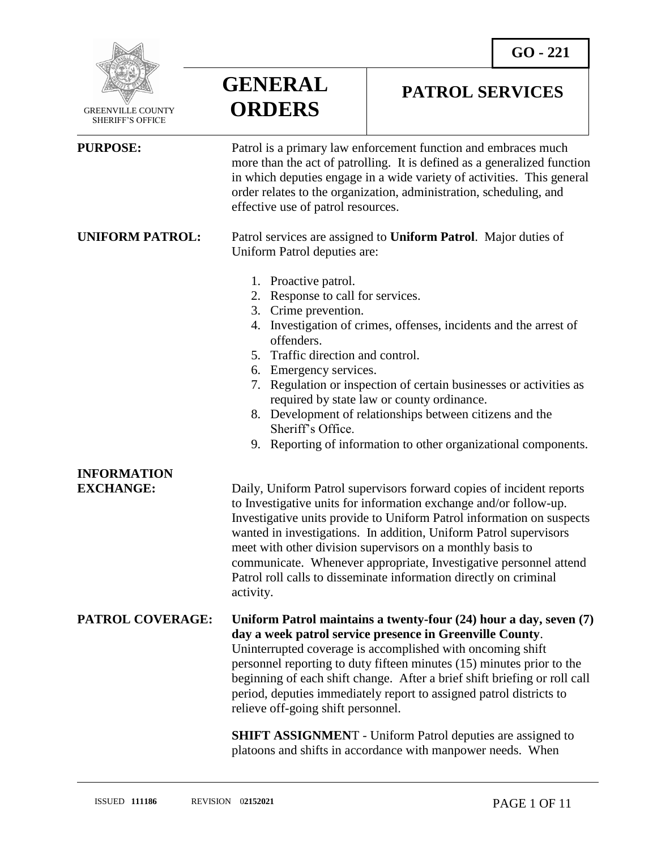

 GREENVILLE COUNTY SHERIFF'S OFFICE

## **GENERAL ORDERS**

### **PATROL SERVICES**

| <b>PURPOSE:</b>                        | Patrol is a primary law enforcement function and embraces much<br>more than the act of patrolling. It is defined as a generalized function<br>in which deputies engage in a wide variety of activities. This general<br>order relates to the organization, administration, scheduling, and<br>effective use of patrol resources.                                                                                                                                                                                           |
|----------------------------------------|----------------------------------------------------------------------------------------------------------------------------------------------------------------------------------------------------------------------------------------------------------------------------------------------------------------------------------------------------------------------------------------------------------------------------------------------------------------------------------------------------------------------------|
| <b>UNIFORM PATROL:</b>                 | Patrol services are assigned to Uniform Patrol. Major duties of<br>Uniform Patrol deputies are:                                                                                                                                                                                                                                                                                                                                                                                                                            |
|                                        | 1. Proactive patrol.<br>Response to call for services.<br>2.<br>3. Crime prevention.<br>Investigation of crimes, offenses, incidents and the arrest of<br>4.<br>offenders.<br>Traffic direction and control.<br>5.<br>Emergency services.<br>6.<br>Regulation or inspection of certain businesses or activities as<br>7.<br>required by state law or county ordinance.<br>8. Development of relationships between citizens and the<br>Sheriff's Office.<br>9. Reporting of information to other organizational components. |
| <b>INFORMATION</b><br><b>EXCHANGE:</b> | Daily, Uniform Patrol supervisors forward copies of incident reports                                                                                                                                                                                                                                                                                                                                                                                                                                                       |
|                                        | to Investigative units for information exchange and/or follow-up.<br>Investigative units provide to Uniform Patrol information on suspects<br>wanted in investigations. In addition, Uniform Patrol supervisors<br>meet with other division supervisors on a monthly basis to<br>communicate. Whenever appropriate, Investigative personnel attend<br>Patrol roll calls to disseminate information directly on criminal<br>activity.                                                                                       |
| PATROL COVERAGE:                       | Uniform Patrol maintains a twenty-four (24) hour a day, seven (7)<br>day a week patrol service presence in Greenville County.<br>Uninterrupted coverage is accomplished with oncoming shift<br>personnel reporting to duty fifteen minutes (15) minutes prior to the<br>beginning of each shift change. After a brief shift briefing or roll call<br>period, deputies immediately report to assigned patrol districts to<br>relieve off-going shift personnel.                                                             |
|                                        | <b>SHIFT ASSIGNMENT</b> - Uniform Patrol deputies are assigned to<br>platoons and shifts in accordance with manpower needs. When                                                                                                                                                                                                                                                                                                                                                                                           |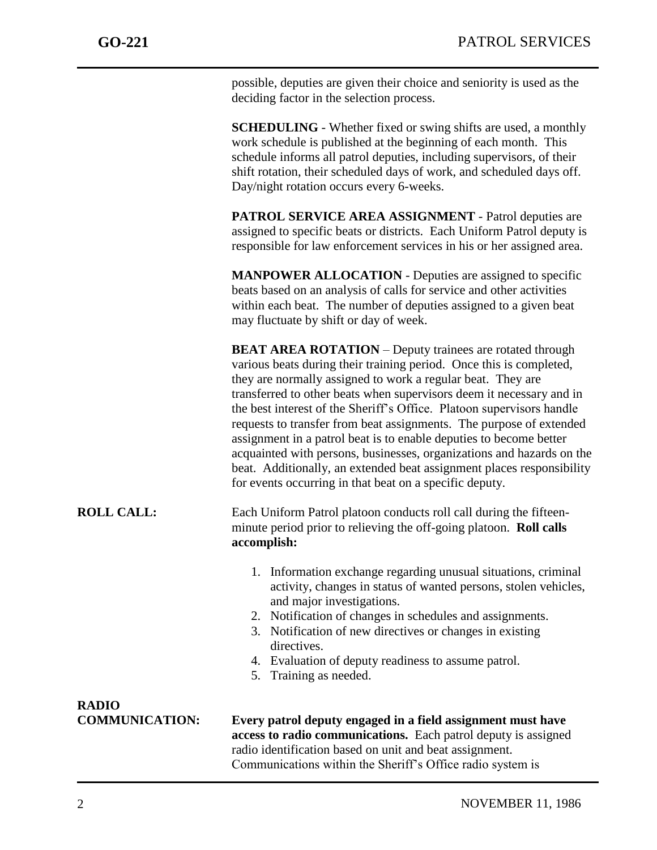possible, deputies are given their choice and seniority is used as the deciding factor in the selection process.

**SCHEDULING** - Whether fixed or swing shifts are used, a monthly work schedule is published at the beginning of each month. This schedule informs all patrol deputies, including supervisors, of their shift rotation, their scheduled days of work, and scheduled days off. Day/night rotation occurs every 6-weeks.

**PATROL SERVICE AREA ASSIGNMENT** - Patrol deputies are assigned to specific beats or districts. Each Uniform Patrol deputy is responsible for law enforcement services in his or her assigned area.

**MANPOWER ALLOCATION** - Deputies are assigned to specific beats based on an analysis of calls for service and other activities within each beat. The number of deputies assigned to a given beat may fluctuate by shift or day of week.

**BEAT AREA ROTATION** – Deputy trainees are rotated through various beats during their training period. Once this is completed, they are normally assigned to work a regular beat. They are transferred to other beats when supervisors deem it necessary and in the best interest of the Sheriff's Office. Platoon supervisors handle requests to transfer from beat assignments. The purpose of extended assignment in a patrol beat is to enable deputies to become better acquainted with persons, businesses, organizations and hazards on the beat. Additionally, an extended beat assignment places responsibility for events occurring in that beat on a specific deputy.

- **ROLL CALL:** Each Uniform Patrol platoon conducts roll call during the fifteenminute period prior to relieving the off-going platoon. **Roll calls accomplish:**
	- 1. Information exchange regarding unusual situations, criminal activity, changes in status of wanted persons, stolen vehicles, and major investigations.
	- 2. Notification of changes in schedules and assignments.
	- 3. Notification of new directives or changes in existing directives.
	- 4. Evaluation of deputy readiness to assume patrol.
	- 5. Training as needed.

# **RADIO**

**COMMUNICATION: Every patrol deputy engaged in a field assignment must have access to radio communications.** Each patrol deputy is assigned radio identification based on unit and beat assignment. Communications within the Sheriff's Office radio system is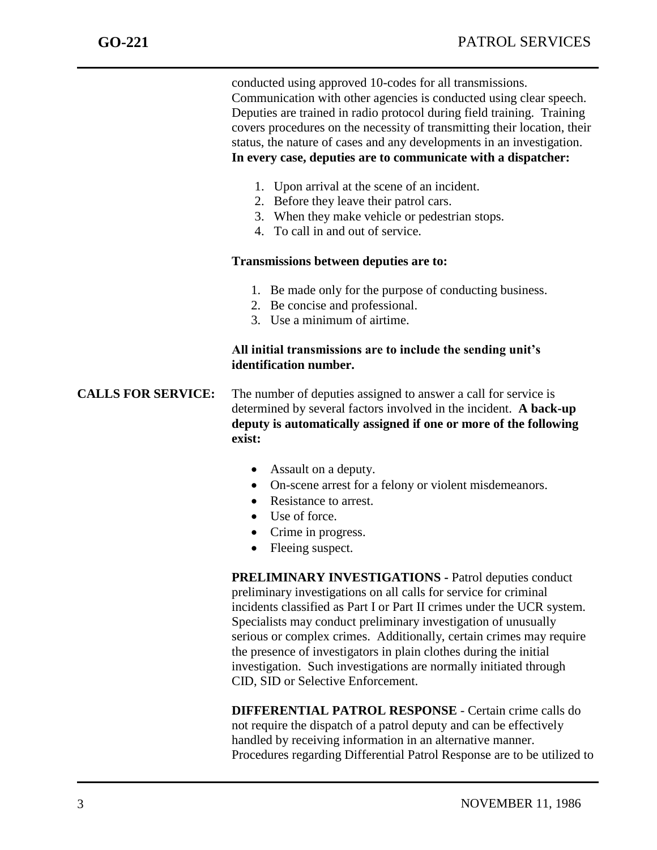conducted using approved 10-codes for all transmissions. Communication with other agencies is conducted using clear speech. Deputies are trained in radio protocol during field training. Training covers procedures on the necessity of transmitting their location, their status, the nature of cases and any developments in an investigation. **In every case, deputies are to communicate with a dispatcher:**

- 1. Upon arrival at the scene of an incident.
- 2. Before they leave their patrol cars.
- 3. When they make vehicle or pedestrian stops.
- 4. To call in and out of service.

#### **Transmissions between deputies are to:**

- 1. Be made only for the purpose of conducting business.
- 2. Be concise and professional.
- 3. Use a minimum of airtime.

#### **All initial transmissions are to include the sending unit's identification number.**

#### **CALLS FOR SERVICE:** The number of deputies assigned to answer a call for service is determined by several factors involved in the incident. **A back-up deputy is automatically assigned if one or more of the following exist:**

- Assault on a deputy.
- On-scene arrest for a felony or violent misdemeanors.
- Resistance to arrest.
- Use of force.
- Crime in progress.
- Fleeing suspect.

**PRELIMINARY INVESTIGATIONS -** Patrol deputies conduct preliminary investigations on all calls for service for criminal incidents classified as Part I or Part II crimes under the UCR system. Specialists may conduct preliminary investigation of unusually serious or complex crimes. Additionally, certain crimes may require the presence of investigators in plain clothes during the initial investigation. Such investigations are normally initiated through CID, SID or Selective Enforcement.

**DIFFERENTIAL PATROL RESPONSE** - Certain crime calls do not require the dispatch of a patrol deputy and can be effectively handled by receiving information in an alternative manner. Procedures regarding Differential Patrol Response are to be utilized to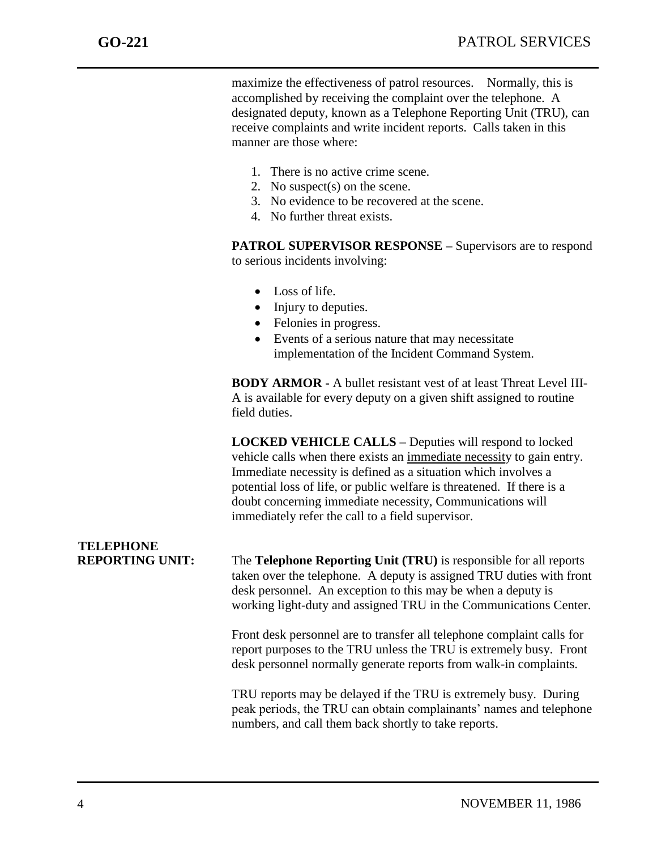maximize the effectiveness of patrol resources. Normally, this is accomplished by receiving the complaint over the telephone. A designated deputy, known as a Telephone Reporting Unit (TRU), can receive complaints and write incident reports. Calls taken in this manner are those where:

- 1. There is no active crime scene.
- 2. No suspect(s) on the scene.
- 3. No evidence to be recovered at the scene.
- 4. No further threat exists.

**PATROL SUPERVISOR RESPONSE –** Supervisors are to respond to serious incidents involving:

- Loss of life.
- Injury to deputies.
- Felonies in progress.
- Events of a serious nature that may necessitate implementation of the Incident Command System.

**BODY ARMOR -** A bullet resistant vest of at least Threat Level III-A is available for every deputy on a given shift assigned to routine field duties.

**LOCKED VEHICLE CALLS –** Deputies will respond to locked vehicle calls when there exists an immediate necessity to gain entry. Immediate necessity is defined as a situation which involves a potential loss of life, or public welfare is threatened. If there is a doubt concerning immediate necessity, Communications will immediately refer the call to a field supervisor.

#### **TELEPHONE REPORTING UNIT:** The **Telephone Reporting Unit (TRU)** is responsible for all reports taken over the telephone. A deputy is assigned TRU duties with front desk personnel. An exception to this may be when a deputy is working light-duty and assigned TRU in the Communications Center.

Front desk personnel are to transfer all telephone complaint calls for report purposes to the TRU unless the TRU is extremely busy. Front desk personnel normally generate reports from walk-in complaints.

TRU reports may be delayed if the TRU is extremely busy. During peak periods, the TRU can obtain complainants' names and telephone numbers, and call them back shortly to take reports.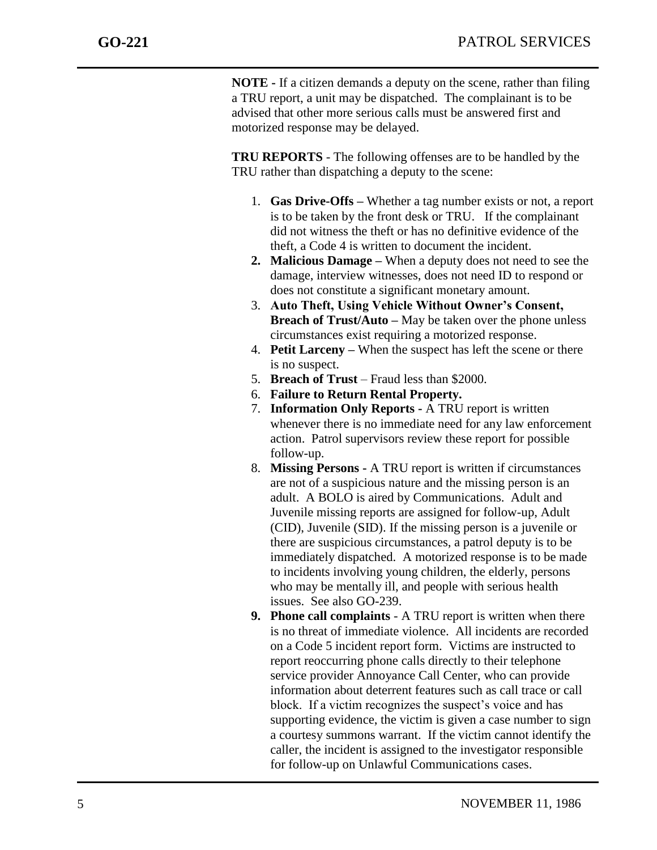**NOTE -** If a citizen demands a deputy on the scene, rather than filing a TRU report, a unit may be dispatched. The complainant is to be advised that other more serious calls must be answered first and motorized response may be delayed.

**TRU REPORTS** - The following offenses are to be handled by the TRU rather than dispatching a deputy to the scene:

- 1. **Gas Drive-Offs –** Whether a tag number exists or not, a report is to be taken by the front desk or TRU. If the complainant did not witness the theft or has no definitive evidence of the theft, a Code 4 is written to document the incident.
- **2. Malicious Damage –** When a deputy does not need to see the damage, interview witnesses, does not need ID to respond or does not constitute a significant monetary amount.
- 3. **Auto Theft, Using Vehicle Without Owner's Consent, Breach of Trust/Auto –** May be taken over the phone unless circumstances exist requiring a motorized response.
- 4. **Petit Larceny –** When the suspect has left the scene or there is no suspect.
- 5. **Breach of Trust** Fraud less than \$2000.
- 6. **Failure to Return Rental Property.**
- 7. **Information Only Reports -** A TRU report is written whenever there is no immediate need for any law enforcement action. Patrol supervisors review these report for possible follow-up.
- 8. **Missing Persons -** A TRU report is written if circumstances are not of a suspicious nature and the missing person is an adult. A BOLO is aired by Communications. Adult and Juvenile missing reports are assigned for follow-up, Adult (CID), Juvenile (SID). If the missing person is a juvenile or there are suspicious circumstances, a patrol deputy is to be immediately dispatched. A motorized response is to be made to incidents involving young children, the elderly, persons who may be mentally ill, and people with serious health issues. See also GO-239.
- **9. Phone call complaints** A TRU report is written when there is no threat of immediate violence. All incidents are recorded on a Code 5 incident report form. Victims are instructed to report reoccurring phone calls directly to their telephone service provider Annoyance Call Center, who can provide information about deterrent features such as call trace or call block. If a victim recognizes the suspect's voice and has supporting evidence, the victim is given a case number to sign a courtesy summons warrant. If the victim cannot identify the caller, the incident is assigned to the investigator responsible for follow-up on Unlawful Communications cases.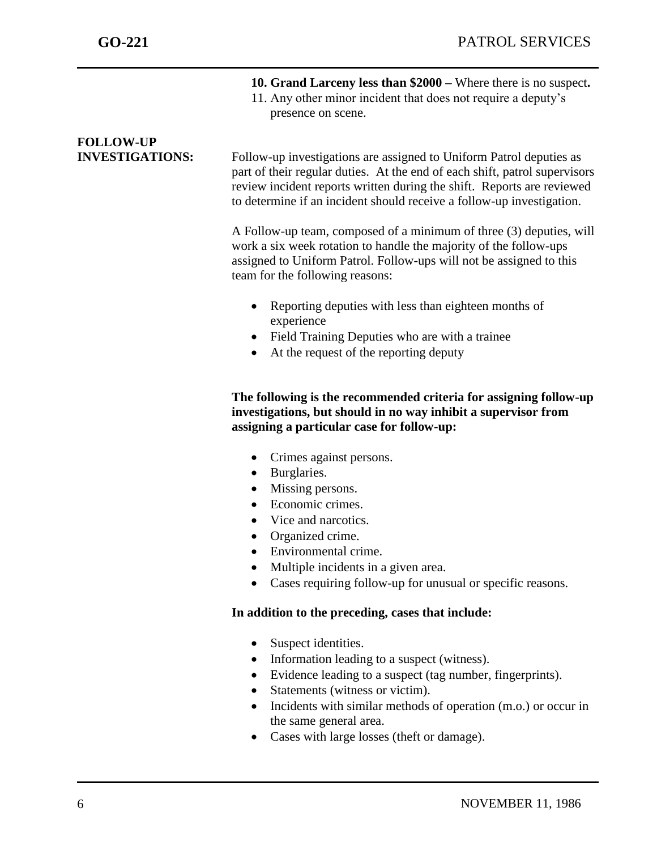- **10. Grand Larceny less than \$2000 –** Where there is no suspect**.**
- 11. Any other minor incident that does not require a deputy's presence on scene.

# **FOLLOW-UP**

**INVESTIGATIONS:** Follow-up investigations are assigned to Uniform Patrol deputies as part of their regular duties. At the end of each shift, patrol supervisors review incident reports written during the shift. Reports are reviewed to determine if an incident should receive a follow-up investigation.

> A Follow-up team, composed of a minimum of three (3) deputies, will work a six week rotation to handle the majority of the follow-ups assigned to Uniform Patrol. Follow-ups will not be assigned to this team for the following reasons:

- Reporting deputies with less than eighteen months of experience
- Field Training Deputies who are with a trainee
- At the request of the reporting deputy

**The following is the recommended criteria for assigning follow-up investigations, but should in no way inhibit a supervisor from assigning a particular case for follow-up:**

- Crimes against persons.
- Burglaries.
- Missing persons.
- Economic crimes.
- Vice and narcotics.
- Organized crime.
- Environmental crime.
- Multiple incidents in a given area.
- Cases requiring follow-up for unusual or specific reasons.

#### **In addition to the preceding, cases that include:**

- Suspect identities.
- Information leading to a suspect (witness).
- Evidence leading to a suspect (tag number, fingerprints).
- Statements (witness or victim).
- Incidents with similar methods of operation (m.o.) or occur in the same general area.
- Cases with large losses (theft or damage).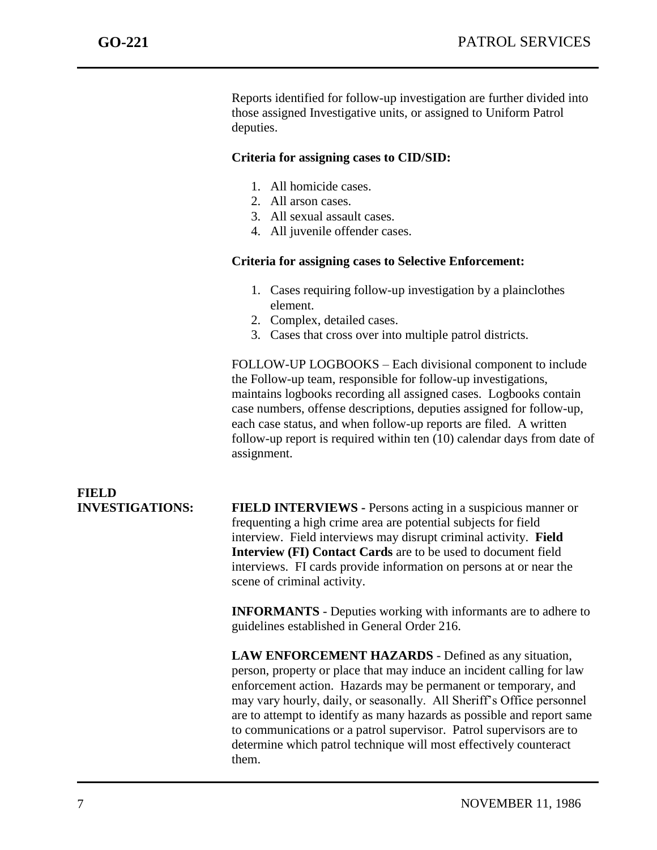Reports identified for follow-up investigation are further divided into those assigned Investigative units, or assigned to Uniform Patrol deputies.

#### **Criteria for assigning cases to CID/SID:**

- 1. All homicide cases.
- 2. All arson cases.
- 3. All sexual assault cases.
- 4. All juvenile offender cases.

#### **Criteria for assigning cases to Selective Enforcement:**

- 1. Cases requiring follow-up investigation by a plainclothes element.
- 2. Complex, detailed cases.
- 3. Cases that cross over into multiple patrol districts.

FOLLOW-UP LOGBOOKS – Each divisional component to include the Follow-up team, responsible for follow-up investigations, maintains logbooks recording all assigned cases. Logbooks contain case numbers, offense descriptions, deputies assigned for follow-up, each case status, and when follow-up reports are filed. A written follow-up report is required within ten (10) calendar days from date of assignment.

#### **FIELD INVESTIGATIONS: FIELD INTERVIEWS -** Persons acting in a suspicious manner or frequenting a high crime area are potential subjects for field interview. Field interviews may disrupt criminal activity. **Field Interview (FI) Contact Cards** are to be used to document field interviews. FI cards provide information on persons at or near the scene of criminal activity.

**INFORMANTS** - Deputies working with informants are to adhere to guidelines established in General Order 216.

**LAW ENFORCEMENT HAZARDS** - Defined as any situation, person, property or place that may induce an incident calling for law enforcement action. Hazards may be permanent or temporary, and may vary hourly, daily, or seasonally. All Sheriff's Office personnel are to attempt to identify as many hazards as possible and report same to communications or a patrol supervisor. Patrol supervisors are to determine which patrol technique will most effectively counteract them.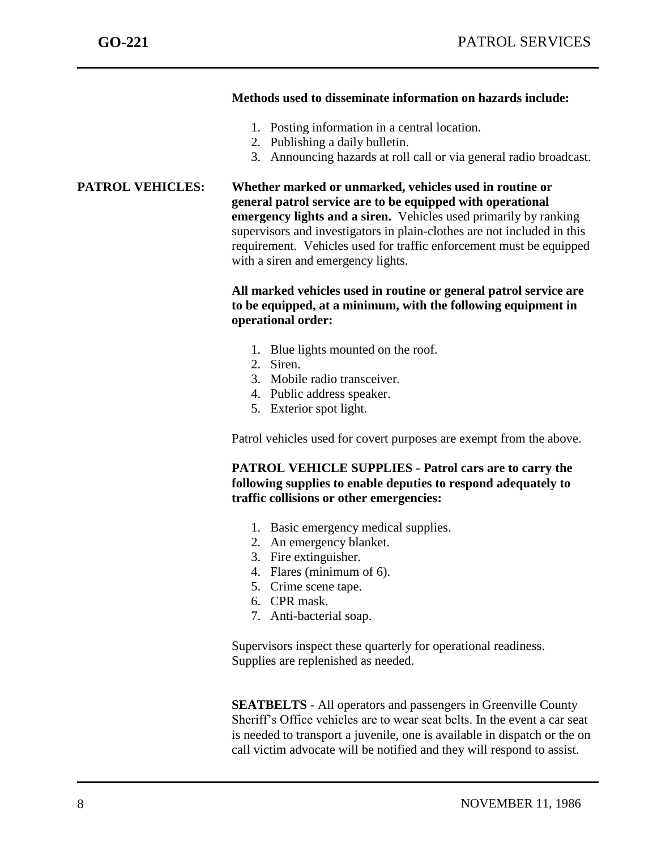#### **Methods used to disseminate information on hazards include:**

- 1. Posting information in a central location.
- 2. Publishing a daily bulletin.
- 3. Announcing hazards at roll call or via general radio broadcast.

#### **PATROL VEHICLES: Whether marked or unmarked, vehicles used in routine or general patrol service are to be equipped with operational emergency lights and a siren.** Vehicles used primarily by ranking supervisors and investigators in plain-clothes are not included in this requirement. Vehicles used for traffic enforcement must be equipped with a siren and emergency lights.

#### **All marked vehicles used in routine or general patrol service are to be equipped, at a minimum, with the following equipment in operational order:**

- 1. Blue lights mounted on the roof.
- 2. Siren.
- 3. Mobile radio transceiver.
- 4. Public address speaker.
- 5. Exterior spot light.

Patrol vehicles used for covert purposes are exempt from the above.

#### **PATROL VEHICLE SUPPLIES - Patrol cars are to carry the following supplies to enable deputies to respond adequately to traffic collisions or other emergencies:**

- 1. Basic emergency medical supplies.
- 2. An emergency blanket.
- 3. Fire extinguisher.
- 4. Flares (minimum of 6).
- 5. Crime scene tape.
- 6. CPR mask.
- 7. Anti-bacterial soap.

Supervisors inspect these quarterly for operational readiness. Supplies are replenished as needed.

**SEATBELTS** - All operators and passengers in Greenville County Sheriff's Office vehicles are to wear seat belts. In the event a car seat is needed to transport a juvenile, one is available in dispatch or the on call victim advocate will be notified and they will respond to assist.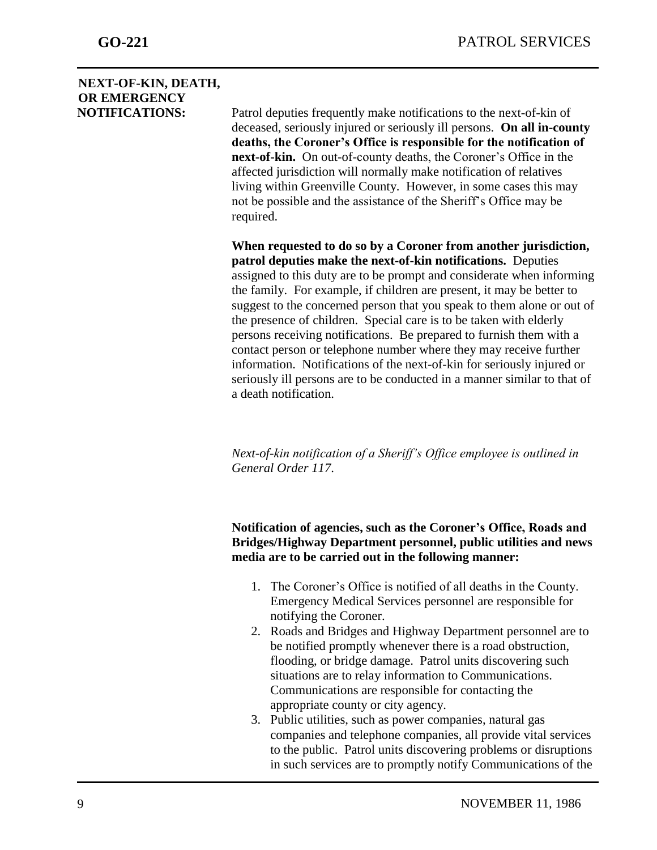### **NEXT-OF-KIN, DEATH, OR EMERGENCY**

**NOTIFICATIONS:** Patrol deputies frequently make notifications to the next-of-kin of deceased, seriously injured or seriously ill persons. **On all in-county deaths, the Coroner's Office is responsible for the notification of next-of-kin.** On out-of-county deaths, the Coroner's Office in the affected jurisdiction will normally make notification of relatives living within Greenville County. However, in some cases this may not be possible and the assistance of the Sheriff's Office may be required.

> **When requested to do so by a Coroner from another jurisdiction, patrol deputies make the next-of-kin notifications.** Deputies assigned to this duty are to be prompt and considerate when informing the family. For example, if children are present, it may be better to suggest to the concerned person that you speak to them alone or out of the presence of children. Special care is to be taken with elderly persons receiving notifications. Be prepared to furnish them with a contact person or telephone number where they may receive further information. Notifications of the next-of-kin for seriously injured or seriously ill persons are to be conducted in a manner similar to that of a death notification.

*Next-of-kin notification of a Sheriff's Office employee is outlined in General Order 117*.

**Notification of agencies, such as the Coroner's Office, Roads and Bridges/Highway Department personnel, public utilities and news media are to be carried out in the following manner:**

- 1. The Coroner's Office is notified of all deaths in the County. Emergency Medical Services personnel are responsible for notifying the Coroner.
- 2. Roads and Bridges and Highway Department personnel are to be notified promptly whenever there is a road obstruction, flooding, or bridge damage. Patrol units discovering such situations are to relay information to Communications. Communications are responsible for contacting the appropriate county or city agency.
- 3. Public utilities, such as power companies, natural gas companies and telephone companies, all provide vital services to the public. Patrol units discovering problems or disruptions in such services are to promptly notify Communications of the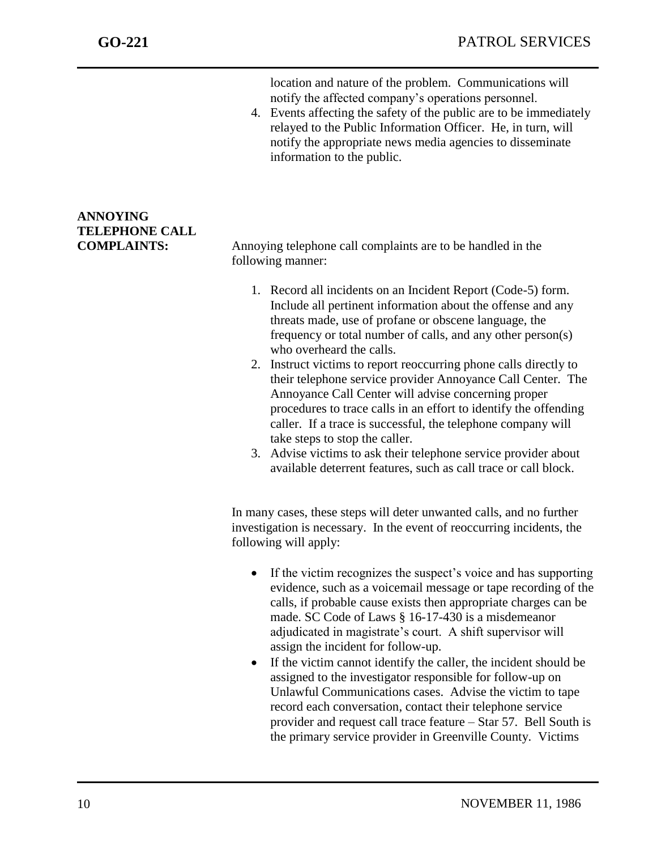location and nature of the problem. Communications will notify the affected company's operations personnel.

4. Events affecting the safety of the public are to be immediately relayed to the Public Information Officer. He, in turn, will notify the appropriate news media agencies to disseminate information to the public.

## **ANNOYING TELEPHONE CALL**

**COMPLAINTS:** Annoying telephone call complaints are to be handled in the following manner:

- 1. Record all incidents on an Incident Report (Code-5) form. Include all pertinent information about the offense and any threats made, use of profane or obscene language, the frequency or total number of calls, and any other person(s) who overheard the calls.
- 2. Instruct victims to report reoccurring phone calls directly to their telephone service provider Annoyance Call Center. The Annoyance Call Center will advise concerning proper procedures to trace calls in an effort to identify the offending caller. If a trace is successful, the telephone company will take steps to stop the caller.
- 3. Advise victims to ask their telephone service provider about available deterrent features, such as call trace or call block.

In many cases, these steps will deter unwanted calls, and no further investigation is necessary. In the event of reoccurring incidents, the following will apply:

- If the victim recognizes the suspect's voice and has supporting evidence, such as a voicemail message or tape recording of the calls, if probable cause exists then appropriate charges can be made. SC Code of Laws § 16-17-430 is a misdemeanor adjudicated in magistrate's court. A shift supervisor will assign the incident for follow-up.
- If the victim cannot identify the caller, the incident should be assigned to the investigator responsible for follow-up on Unlawful Communications cases. Advise the victim to tape record each conversation, contact their telephone service provider and request call trace feature – Star 57. Bell South is the primary service provider in Greenville County. Victims